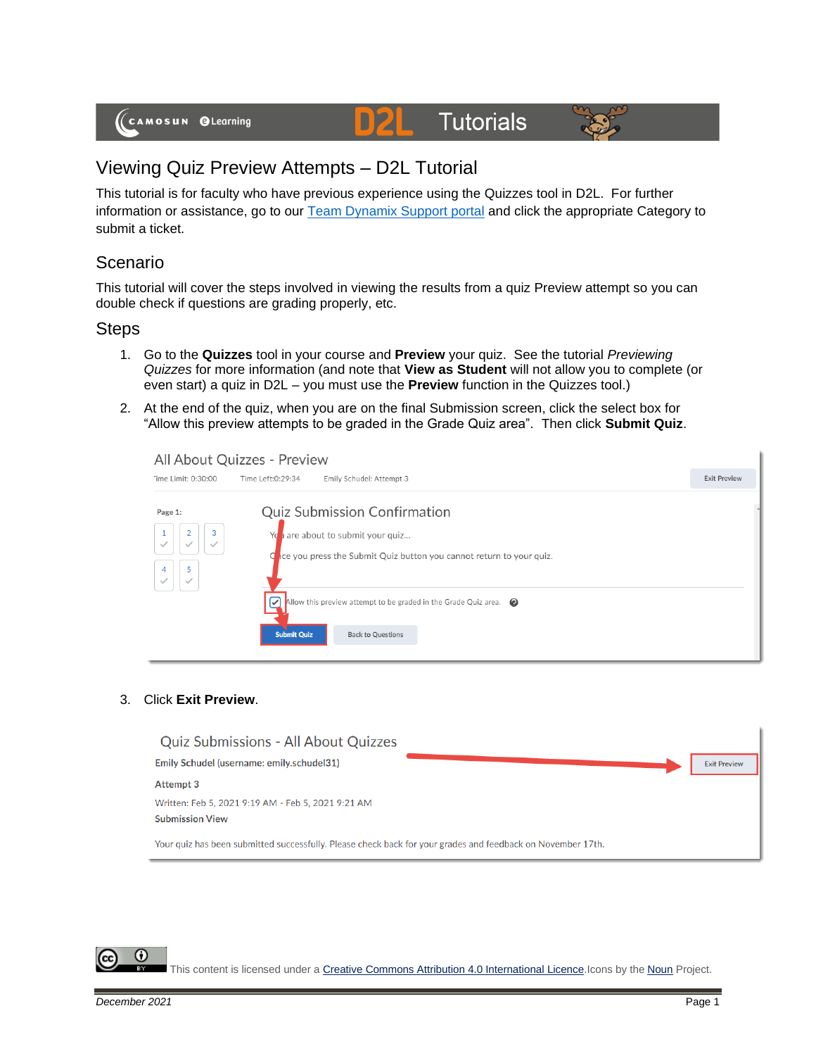# **Tutorials**



## Viewing Quiz Preview Attempts – D2L Tutorial

This tutorial is for faculty who have previous experience using the Quizzes tool in D2L. For further information or assistance, go to our [Team Dynamix Support portal](https://camosun.teamdynamix.com/TDClient/67/Portal/Requests/ServiceCatalog?CategoryID=523) and click the appropriate Category to submit a ticket.

D

#### Scenario

This tutorial will cover the steps involved in viewing the results from a quiz Preview attempt so you can double check if questions are grading properly, etc.

#### **Steps**

- 1. Go to the **Quizzes** tool in your course and **Preview** your quiz. See the tutorial *Previewing Quizzes* for more information (and note that **View as Student** will not allow you to complete (or even start) a quiz in D2L – you must use the **Preview** function in the Quizzes tool.)
- 2. At the end of the quiz, when you are on the final Submission screen, click the select box for "Allow this preview attempts to be graded in the Grade Quiz area". Then click **Submit Quiz**.

| "ime Limit: 0:30:00                           | Time Left:0:29:34<br>Emily Schudel: Attempt 3                                                                                                   | <b>Exit Preview</b> |
|-----------------------------------------------|-------------------------------------------------------------------------------------------------------------------------------------------------|---------------------|
| Page 1:                                       | Quiz Submission Confirmation                                                                                                                    |                     |
| 3<br>$\overline{2}$<br>$\checkmark$<br>5<br>4 | are about to submit your quiz<br>Yd<br>ace you press the Submit Quiz button you cannot return to your quiz.<br>α                                |                     |
|                                               | $\triangledown$<br>Allow this preview attempt to be graded in the Grade Quiz area. $\bigcirc$<br><b>Submit Quiz</b><br><b>Back to Questions</b> |                     |

#### 3. Click **Exit Preview**.

| <b>Quiz Submissions - All About Quizzes</b>                                                                 |                     |
|-------------------------------------------------------------------------------------------------------------|---------------------|
| Emily Schudel (username: emily.schudel31)                                                                   | <b>Exit Preview</b> |
| <b>Attempt 3</b>                                                                                            |                     |
| Written: Feb 5, 2021 9:19 AM - Feb 5, 2021 9:21 AM<br><b>Submission View</b>                                |                     |
| Your quiz has been submitted successfully. Please check back for your grades and feedback on November 17th. |                     |

This content is licensed under [a Creative Commons Attribution 4.0 International Licence.I](https://creativecommons.org/licenses/by/4.0/)cons by the [Noun](https://creativecommons.org/website-icons/) Project.

G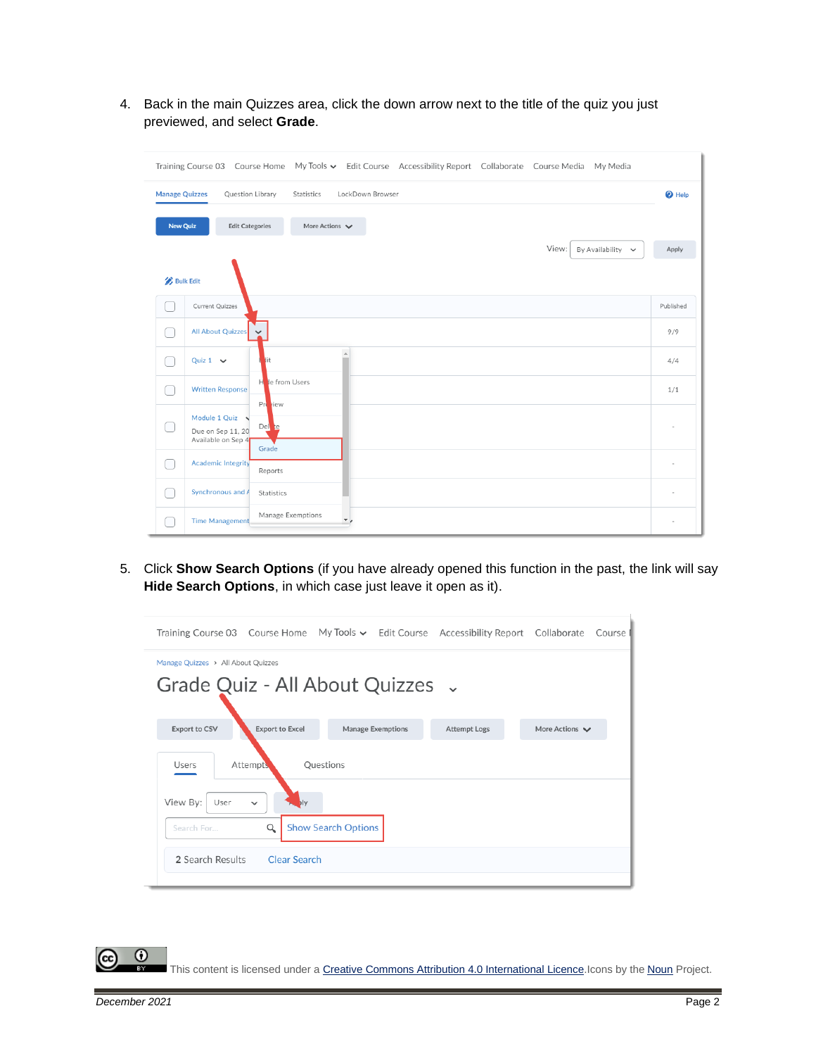4. Back in the main Quizzes area, click the down arrow next to the title of the quiz you just previewed, and select **Grade**.

|                       | My Tools v Edit Course Accessibility Report Collaborate Course Media My Media<br>Training Course 03<br>Course Home  |                          |
|-----------------------|---------------------------------------------------------------------------------------------------------------------|--------------------------|
| <b>Manage Quizzes</b> | Question Library<br>LockDown Browser<br>Statistics                                                                  | <sup>O</sup> Help        |
| <b>New Quiz</b>       | <b>Edit Categories</b><br>More Actions $\vee$                                                                       |                          |
|                       | View:<br>By Availability<br>$\checkmark$                                                                            | Apply                    |
| <b>Bulk Edit</b>      |                                                                                                                     |                          |
|                       | Current Quizzes                                                                                                     | Published                |
|                       | All About Quizzes                                                                                                   | 9/9                      |
|                       | $\Delta$<br>Quiz $1 \quad \vee$<br>lit                                                                              | 4/4                      |
|                       | le from Users<br>н<br><b>Written Response</b>                                                                       | 1/1                      |
|                       | Pre riew<br>Module 1 Quiz<br>$\overline{\phantom{0}}$<br>Del te<br>Due on Sep 11, 20<br>Available on Sep 4<br>Grade |                          |
|                       | <b>Academic Integrity</b><br>Reports                                                                                | $\overline{\phantom{a}}$ |
|                       | Synchronous and A<br>Statistics                                                                                     |                          |
|                       | Manage Exemptions<br><b>Time Management</b><br>$\overline{\phantom{a}}$                                             |                          |

5. Click **Show Search Options** (if you have already opened this function in the past, the link will say **Hide Search Options**, in which case just leave it open as it).



0 This content is licensed under [a Creative Commons Attribution 4.0 International Licence.I](https://creativecommons.org/licenses/by/4.0/)cons by the [Noun](https://creativecommons.org/website-icons/) Project.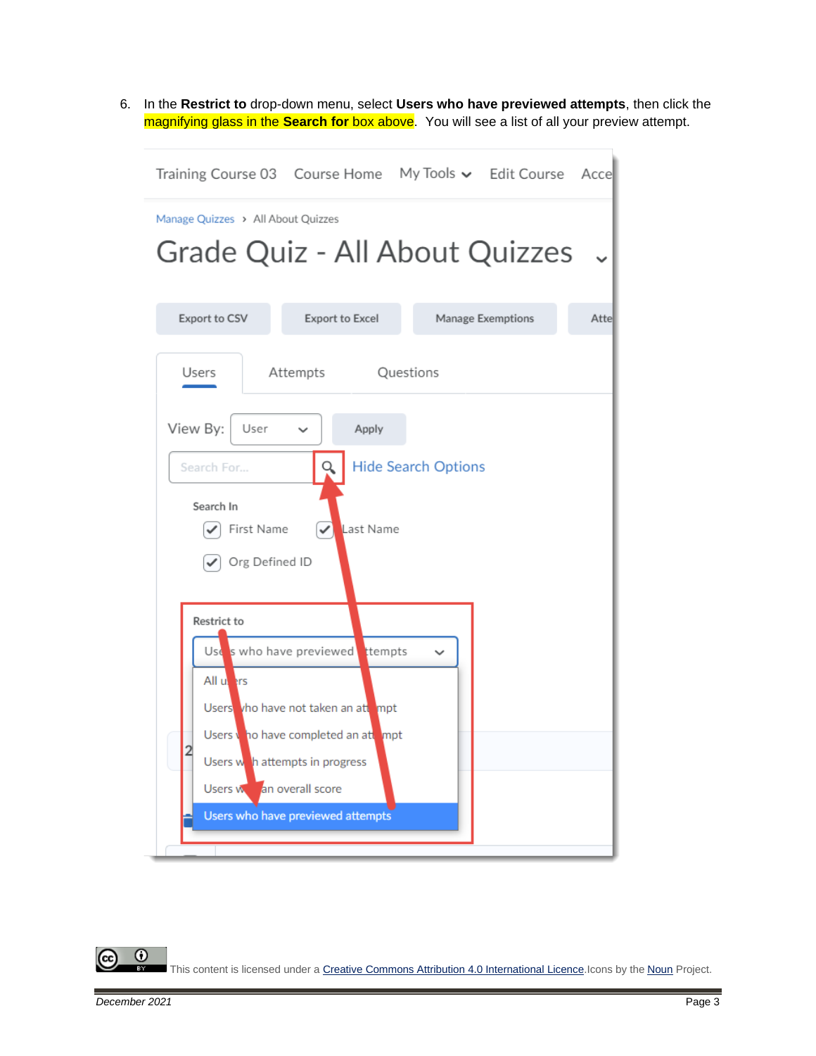6. In the **Restrict to** drop-down menu, select **Users who have previewed attempts**, then click the magnifying glass in the **Search for** box above. You will see a list of all your preview attempt.



0 This content is licensed under [a Creative Commons Attribution 4.0 International Licence.I](https://creativecommons.org/licenses/by/4.0/)cons by the [Noun](https://creativecommons.org/website-icons/) Project.